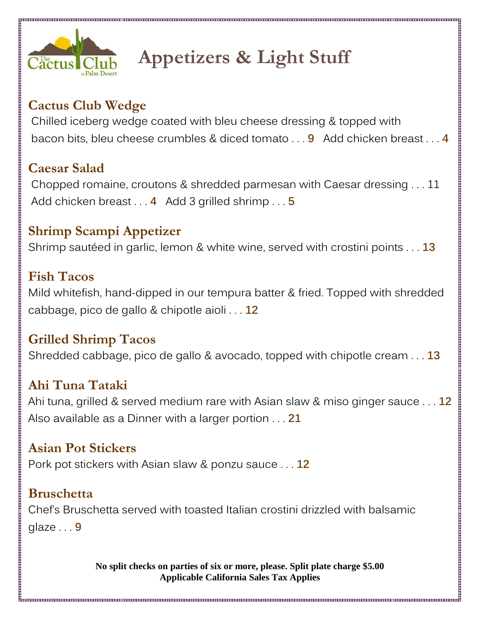

# **Appetizers & Light Stuff**

# **Cactus Club Wedge**

Chilled iceberg wedge coated with bleu cheese dressing & topped with bacon bits, bleu cheese crumbles & diced tomato . . . **9** Add chicken breast . . . **4**

## **Caesar Salad**

Chopped romaine, croutons & shredded parmesan with Caesar dressing . . . 11 Add chicken breast . . . **4** Add 3 grilled shrimp . . . **5**

## **Shrimp Scampi Appetizer**

Shrimp sautéed in garlic, lemon & white wine, served with crostini points . . . **13**

# **Fish Tacos**

Mild whitefish, hand-dipped in our tempura batter & fried. Topped with shredded cabbage, pico de gallo & chipotle aioli . . . **12**

#### **Grilled Shrimp Tacos**

Shredded cabbage, pico de gallo & avocado, topped with chipotle cream . . . **13**

## **Ahi Tuna Tataki**

Ahi tuna, grilled & served medium rare with Asian slaw & miso ginger sauce . . . **12** Also available as a Dinner with a larger portion . . . **21**

#### **Asian Pot Stickers**

Pork pot stickers with Asian slaw & ponzu sauce . . . **12**

#### **Bruschetta**

Chef's Bruschetta served with toasted Italian crostini drizzled with balsamic glaze . . . **9**

> **No split checks on parties of six or more, please. Split plate charge \$5.00 Applicable California Sales Tax Applies**